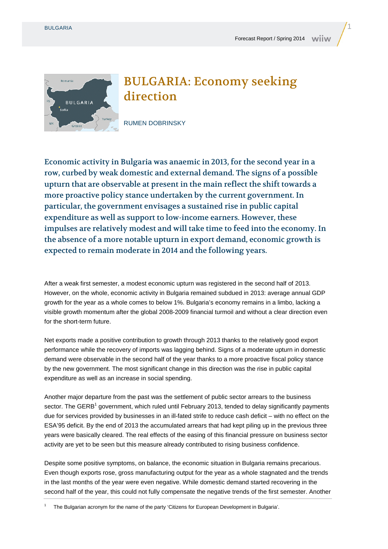

## BULGARIA: Economy seeking direction

RUMEN DOBRINSKY

Economic activity in Bulgaria was anaemic in 2013, for the second year in a row, curbed by weak domestic and external demand. The signs of a possible upturn that are observable at present in the main reflect the shift towards a more proactive policy stance undertaken by the current government. In particular, the government envisages a sustained rise in public capital expenditure as well as support to low-income earners. However, these impulses are relatively modest and will take time to feed into the economy. In the absence of a more notable upturn in export demand, economic growth is expected to remain moderate in 2014 and the following years.

After a weak first semester, a modest economic upturn was registered in the second half of 2013. However, on the whole, economic activity in Bulgaria remained subdued in 2013: average annual GDP growth for the year as a whole comes to below 1%. Bulgaria's economy remains in a limbo, lacking a visible growth momentum after the global 2008-2009 financial turmoil and without a clear direction even for the short-term future.

Net exports made a positive contribution to growth through 2013 thanks to the relatively good export performance while the recovery of imports was lagging behind. Signs of a moderate upturn in domestic demand were observable in the second half of the year thanks to a more proactive fiscal policy stance by the new government. The most significant change in this direction was the rise in public capital expenditure as well as an increase in social spending.

Another major departure from the past was the settlement of public sector arrears to the business sector. The GERB<sup>1</sup> government, which ruled until February 2013, tended to delay significantly payments due for services provided by businesses in an ill-fated strife to reduce cash deficit – with no effect on the ESA'95 deficit. By the end of 2013 the accumulated arrears that had kept piling up in the previous three years were basically cleared. The real effects of the easing of this financial pressure on business sector activity are yet to be seen but this measure already contributed to rising business confidence.

Despite some positive symptoms, on balance, the economic situation in Bulgaria remains precarious. Even though exports rose, gross manufacturing output for the year as a whole stagnated and the trends in the last months of the year were even negative. While domestic demand started recovering in the second half of the year, this could not fully compensate the negative trends of the first semester. Another

1 The Bulgarian acronym for the name of the party 'Citizens for European Development in Bulgaria'.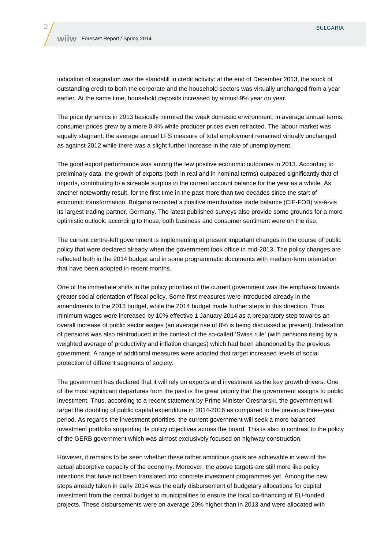indication of stagnation was the standstill in credit activity: at the end of December 2013, the stock of outstanding credit to both the corporate and the household sectors was virtually unchanged from a year earlier. At the same time, household deposits increased by almost 9% year on year.

The price dynamics in 2013 basically mirrored the weak domestic environment: in average annual terms, consumer prices grew by a mere 0.4% while producer prices even retracted. The labour market was equally stagnant: the average annual LFS measure of total employment remained virtually unchanged as against 2012 while there was a slight further increase in the rate of unemployment.

The good export performance was among the few positive economic outcomes in 2013. According to preliminary data, the growth of exports (both in real and in nominal terms) outpaced significantly that of imports, contributing to a sizeable surplus in the current account balance for the year as a whole. As another noteworthy result, for the first time in the past more than two decades since the start of economic transformation, Bulgaria recorded a positive merchandise trade balance (CIF-FOB) vis-à-vis its largest trading partner, Germany. The latest published surveys also provide some grounds for a more optimistic outlook: according to those, both business and consumer sentiment were on the rise.

The current centre-left government is implementing at present important changes in the course of public policy that were declared already when the government took office in mid-2013. The policy changes are reflected both in the 2014 budget and in some programmatic documents with medium-term orientation that have been adopted in recent months.

One of the immediate shifts in the policy priorities of the current government was the emphasis towards greater social orientation of fiscal policy. Some first measures were introduced already in the amendments to the 2013 budget, while the 2014 budget made further steps in this direction. Thus minimum wages were increased by 10% effective 1 January 2014 as a preparatory step towards an overall increase of public sector wages (an average rise of 8% is being discussed at present). Indexation of pensions was also reintroduced in the context of the so-called 'Swiss rule' (with pensions rising by a weighted average of productivity and inflation changes) which had been abandoned by the previous government. A range of additional measures were adopted that target increased levels of social protection of different segments of society.

The government has declared that it will rely on exports and investment as the key growth drivers. One of the most significant departures from the past is the great priority that the government assigns to public investment. Thus, according to a recent statement by Prime Minister Oresharski, the government will target the doubling of public capital expenditure in 2014-2016 as compared to the previous three-year period. As regards the investment priorities, the current government will seek a more balanced investment portfolio supporting its policy objectives across the board. This is also in contrast to the policy of the GERB government which was almost exclusively focused on highway construction.

However, it remains to be seen whether these rather ambitious goals are achievable in view of the actual absorptive capacity of the economy. Moreover, the above targets are still more like policy intentions that have not been translated into concrete investment programmes yet. Among the new steps already taken in early 2014 was the early disbursement of budgetary allocations for capital investment from the central budget to municipalities to ensure the local co-financing of EU-funded projects. These disbursements were on average 20% higher than in 2013 and were allocated with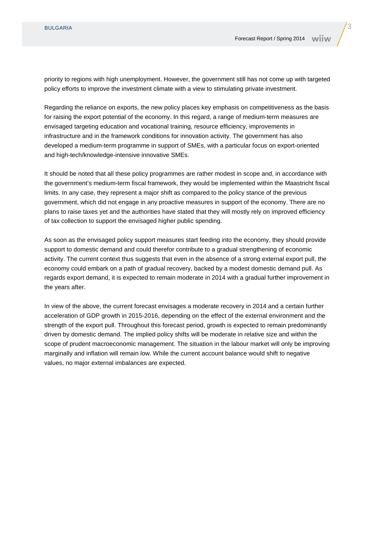priority to regions with high unemployment. However, the government still has not come up with targeted policy efforts to improve the investment climate with a view to stimulating private investment.

Regarding the reliance on exports, the new policy places key emphasis on competitiveness as the basis for raising the export potential of the economy. In this regard, a range of medium-term measures are envisaged targeting education and vocational training, resource efficiency, improvements in infrastructure and in the framework conditions for innovation activity. The government has also developed a medium-term programme in support of SMEs, with a particular focus on export-oriented and high-tech/knowledge-intensive innovative SMEs.

It should be noted that all these policy programmes are rather modest in scope and, in accordance with the government's medium-term fiscal framework, they would be implemented within the Maastricht fiscal limits. In any case, they represent a major shift as compared to the policy stance of the previous government, which did not engage in any proactive measures in support of the economy. There are no plans to raise taxes yet and the authorities have stated that they will mostly rely on improved efficiency of tax collection to support the envisaged higher public spending.

As soon as the envisaged policy support measures start feeding into the economy, they should provide support to domestic demand and could therefor contribute to a gradual strengthening of economic activity. The current context thus suggests that even in the absence of a strong external export pull, the economy could embark on a path of gradual recovery, backed by a modest domestic demand pull. As regards export demand, it is expected to remain moderate in 2014 with a gradual further improvement in the years after.

In view of the above, the current forecast envisages a moderate recovery in 2014 and a certain further acceleration of GDP growth in 2015-2016, depending on the effect of the external environment and the strength of the export pull. Throughout this forecast period, growth is expected to remain predominantly driven by domestic demand. The implied policy shifts will be moderate in relative size and within the scope of prudent macroeconomic management. The situation in the labour market will only be improving marginally and inflation will remain low. While the current account balance would shift to negative values, no major external imbalances are expected.